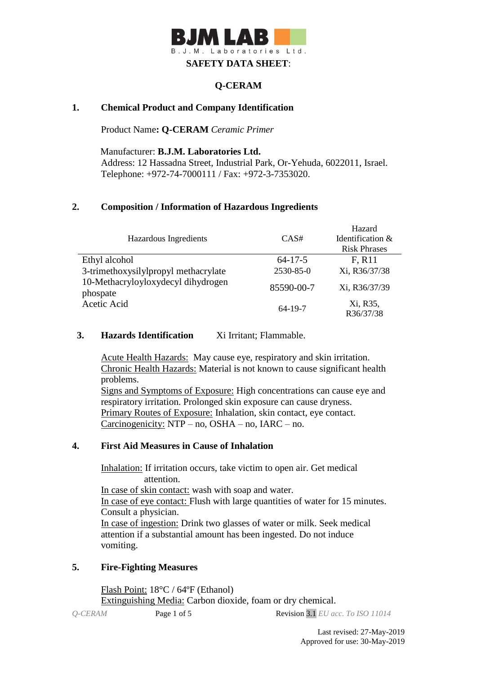# **WILAN** B. J. M. Laboratories Ltd. **SAFETY DATA SHEET**:

## **Q-CERAM**

## **1. Chemical Product and Company Identification**

Product Name**: Q-CERAM** *Ceramic Primer*

Manufacturer: **B.J.M. Laboratories Ltd.** Address: 12 Hassadna Street, Industrial Park, Or-Yehuda, 6022011, Israel. Telephone: +972-74-7000111 / Fax: +972-3-7353020.

## **2. Composition / Information of Hazardous Ingredients**

| Hazardous Ingredients                                                                                                  | CAS#          | Hazard<br>Identification $\&$<br><b>Risk Phrases</b> |
|------------------------------------------------------------------------------------------------------------------------|---------------|------------------------------------------------------|
| Ethyl alcohol<br>3-trimethoxysilylpropyl methacrylate<br>10-Methacryloyloxydecyl dihydrogen<br>phospate<br>Acetic Acid | $64 - 17 - 5$ | F, R <sub>11</sub>                                   |
|                                                                                                                        | 2530-85-0     | Xi, R36/37/38                                        |
|                                                                                                                        | 85590-00-7    | Xi, R36/37/39                                        |
|                                                                                                                        | $64-19-7$     | Xi, R35,<br>R36/37/38                                |

### **3. Hazards Identification** Xi Irritant; Flammable.

Acute Health Hazards: May cause eye, respiratory and skin irritation. Chronic Health Hazards: Material is not known to cause significant health problems.

Signs and Symptoms of Exposure: High concentrations can cause eye and respiratory irritation. Prolonged skin exposure can cause dryness. Primary Routes of Exposure: Inhalation, skin contact, eye contact. Carcinogenicity: NTP – no, OSHA – no, IARC – no.

#### **4. First Aid Measures in Cause of Inhalation**

 Inhalation: If irritation occurs, take victim to open air. Get medical attention. In case of skin contact: wash with soap and water. In case of eye contact: Flush with large quantities of water for 15 minutes. Consult a physician. In case of ingestion: Drink two glasses of water or milk. Seek medical attention if a substantial amount has been ingested. Do not induce vomiting.

#### **5. Fire-Fighting Measures**

Flash Point: 18°C / 64ºF (Ethanol) Extinguishing Media: Carbon dioxide, foam or dry chemical.

*Q-CERAM* Page 1 of 5 Revision 3.1 *EU acc. To ISO 11014*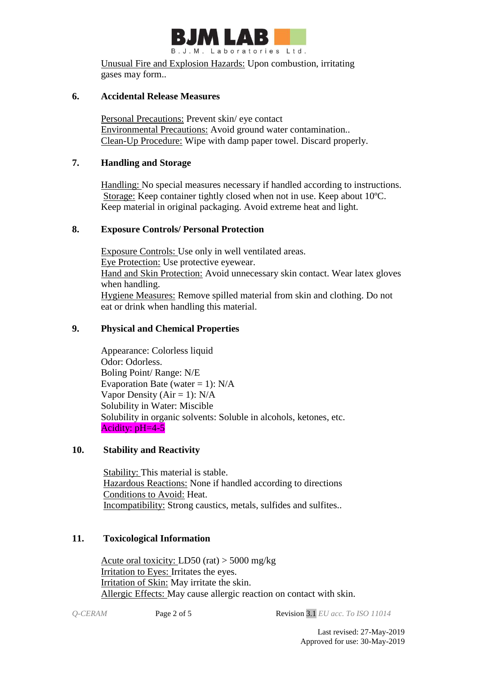

Unusual Fire and Explosion Hazards: Upon combustion, irritating gases may form..

#### **6. Accidental Release Measures**

Personal Precautions: Prevent skin/ eye contact Environmental Precautions: Avoid ground water contamination.. Clean-Up Procedure: Wipe with damp paper towel. Discard properly.

## **7. Handling and Storage**

 Handling: No special measures necessary if handled according to instructions. Storage: Keep container tightly closed when not in use. Keep about 10ºC. Keep material in original packaging. Avoid extreme heat and light.

### **8. Exposure Controls/ Personal Protection**

 Exposure Controls: Use only in well ventilated areas. Eye Protection: Use protective eyewear. Hand and Skin Protection: Avoid unnecessary skin contact. Wear latex gloves when handling. Hygiene Measures: Remove spilled material from skin and clothing. Do not eat or drink when handling this material.

### **9. Physical and Chemical Properties**

Appearance: Colorless liquid Odor: Odorless. Boling Point/ Range: N/E Evaporation Bate (water  $= 1$ ): N/A Vapor Density ( $Air = 1$ ):  $N/A$ Solubility in Water: Miscible Solubility in organic solvents: Soluble in alcohols, ketones, etc. Acidity: pH=4-5

#### **10. Stability and Reactivity**

Stability: This material is stable. Hazardous Reactions: None if handled according to directions Conditions to Avoid: Heat. Incompatibility: Strong caustics, metals, sulfides and sulfites..

## **11. Toxicological Information**

Acute oral toxicity: LD50 (rat)  $>$  5000 mg/kg Irritation to Eyes: Irritates the eyes. Irritation of Skin: May irritate the skin. Allergic Effects: May cause allergic reaction on contact with skin.

*Q-CERAM* Page 2 of 5 Revision 3.1 *EU acc. To ISO 11014*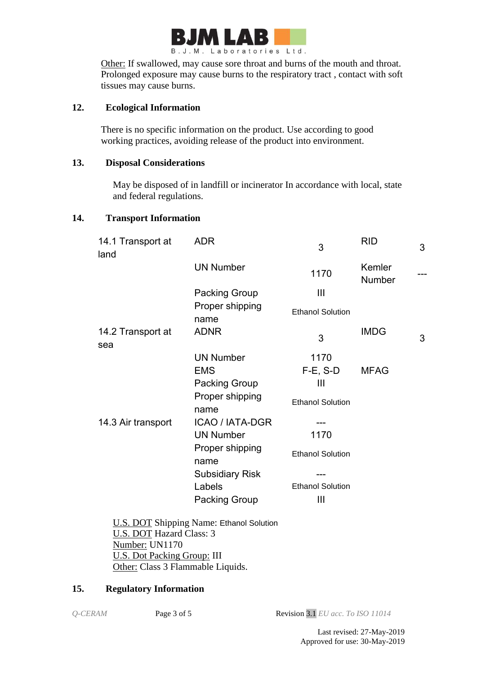

Other: If swallowed, may cause sore throat and burns of the mouth and throat. Prolonged exposure may cause burns to the respiratory tract , contact with soft tissues may cause burns.

### **12. Ecological Information**

There is no specific information on the product. Use according to good working practices, avoiding release of the product into environment.

## **13. Disposal Considerations**

 May be disposed of in landfill or incinerator In accordance with local, state and federal regulations.

#### **14. Transport Information**

| 14.1 Transport at<br>land | <b>ADR</b>              | 3                       | <b>RID</b>       | 3 |
|---------------------------|-------------------------|-------------------------|------------------|---|
|                           | <b>UN Number</b>        | 1170                    | Kemler<br>Number |   |
|                           | Packing Group           | $\mathbf{III}$          |                  |   |
|                           | Proper shipping<br>name | <b>Ethanol Solution</b> |                  |   |
| 14.2 Transport at<br>sea  | <b>ADNR</b>             | 3                       | <b>IMDG</b>      | 3 |
|                           | <b>UN Number</b>        | 1170                    |                  |   |
|                           | <b>EMS</b>              | $F-E$ , S-D             | <b>MFAG</b>      |   |
|                           | <b>Packing Group</b>    | Ш                       |                  |   |
|                           | Proper shipping<br>name | <b>Ethanol Solution</b> |                  |   |
| 14.3 Air transport        | <b>ICAO / IATA-DGR</b>  |                         |                  |   |
|                           | <b>UN Number</b>        | 1170                    |                  |   |
|                           | Proper shipping<br>name | <b>Ethanol Solution</b> |                  |   |
|                           | <b>Subsidiary Risk</b>  |                         |                  |   |
|                           | Labels                  | <b>Ethanol Solution</b> |                  |   |
|                           | Packing Group           | Ш                       |                  |   |
|                           |                         |                         |                  |   |

 U.S. DOT Shipping Name: Ethanol Solution U.S. DOT Hazard Class: 3 Number: UN1170 U.S. Dot Packing Group: III Other: Class 3 Flammable Liquids.

#### **15. Regulatory Information**

*Q-CERAM* Page 3 of 5 Revision 3.1 *EU acc. To ISO 11014*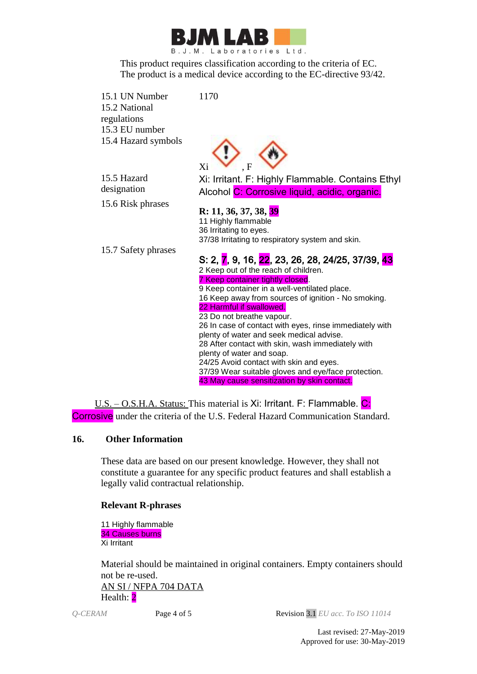

This product requires classification according to the criteria of EC. The product is a medical device according to the EC-directive 93/42.

15.1 UN Number 1170 15.2 National regulations 15.3 EU number 15.4 Hazard symbols



15.6 Risk phrases



Xi: Irritant. F: Highly Flammable. Contains Ethyl Alcohol C: Corrosive liquid, acidic, organic.

## **R: 11, 36, 37, 38, 39**

11 Highly flammable 36 Irritating to eyes. 37/38 Irritating to respiratory system and skin.

15.7 Safety phrases

#### S: 2, 7, 9, 16, 22, 23, 26, 28, 24/25, 37/39, 43 2 Keep out of the reach of children. 7 Keep container tightly closed. 9 Keep container in a well-ventilated place. 16 Keep away from sources of ignition - No smoking. 22 Harmful if swallowed. 23 Do not breathe vapour. 26 In case of contact with eyes, rinse immediately with plenty of water and seek medical advise. 28 After contact with skin, wash immediately with plenty of water and soap. 24/25 Avoid contact with skin and eyes. 37/39 Wear suitable gloves and eye/face protection. 43 May cause sensitization by skin contact.

U.S. – O.S.H.A. Status: This material is Xi: Irritant. F: Flammable. C: Corrosive under the criteria of the U.S. Federal Hazard Communication Standard.

## **16. Other Information**

These data are based on our present knowledge. However, they shall not constitute a guarantee for any specific product features and shall establish a legally valid contractual relationship.

#### **Relevant R-phrases**

11 Highly flammable 34 Causes burns Xi Irritant

Material should be maintained in original containers. Empty containers should not be re-used. AN SI / NFPA 704 DATA

Health: 2

*Q-CERAM* Page 4 of 5 Revision 3.1 *EU acc. To ISO 11014*

Last revised: 27-May-2019 Approved for use: 30-May-2019